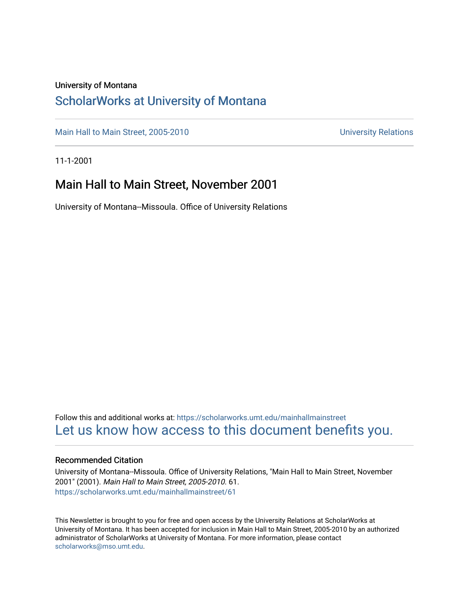#### University of Montana

### [ScholarWorks at University of Montana](https://scholarworks.umt.edu/)

[Main Hall to Main Street, 2005-2010](https://scholarworks.umt.edu/mainhallmainstreet) Main Hall to Main Street, 2005-2010

11-1-2001

#### Main Hall to Main Street, November 2001

University of Montana--Missoula. Office of University Relations

Follow this and additional works at: [https://scholarworks.umt.edu/mainhallmainstreet](https://scholarworks.umt.edu/mainhallmainstreet?utm_source=scholarworks.umt.edu%2Fmainhallmainstreet%2F61&utm_medium=PDF&utm_campaign=PDFCoverPages) [Let us know how access to this document benefits you.](https://goo.gl/forms/s2rGfXOLzz71qgsB2) 

#### Recommended Citation

University of Montana--Missoula. Office of University Relations, "Main Hall to Main Street, November 2001" (2001). Main Hall to Main Street, 2005-2010. 61. [https://scholarworks.umt.edu/mainhallmainstreet/61](https://scholarworks.umt.edu/mainhallmainstreet/61?utm_source=scholarworks.umt.edu%2Fmainhallmainstreet%2F61&utm_medium=PDF&utm_campaign=PDFCoverPages) 

This Newsletter is brought to you for free and open access by the University Relations at ScholarWorks at University of Montana. It has been accepted for inclusion in Main Hall to Main Street, 2005-2010 by an authorized administrator of ScholarWorks at University of Montana. For more information, please contact [scholarworks@mso.umt.edu.](mailto:scholarworks@mso.umt.edu)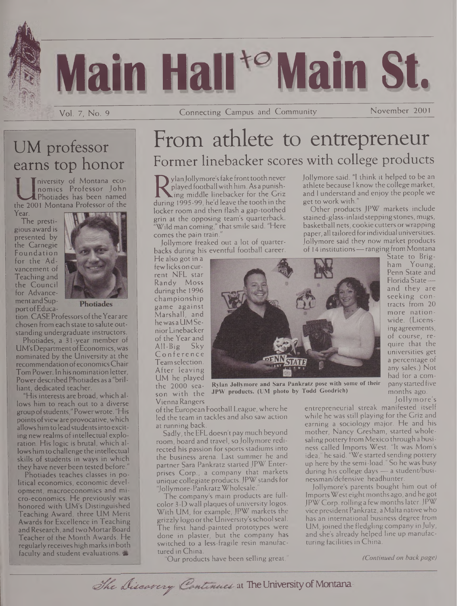

Vol. 7, No. 9 Connecting Campus and Community\_\_\_\_\_\_\_\_\_\_\_\_\_November 2001

## UM professor earns top honor

Iniversity of Montana economics Professor John Photiades has been named the 2001 Montana Professor of the Year.

The prestigious award is presented by the Carnegie Foundation for the Advancement of Teaching and the Council for Advancementand Support of Educa-



tion. CASE Professors of the Year are chosen from each state to salute outstanding undergraduate instructors.

Photiades, a 31-year member of UM'sDepartmentofEconomics, was nominated by the University at the recommendation ofeconomicsChair Tom Power. In his nomination letter, Power described Photiades as a "brilliant, dedicated teacher.

"His interests are broad, which allows him to reach out to a diverse group ofstudents,"Powerwrote. "His points of view are provocative, which allows him to lead students into exciting new realms of intellectual exploration. His logic is brutal, which allowshimtochallenge the intellectual skills of students in ways in which they have never been tested before."

Photiades teaches classes in political economics, economic development, macroeconomics and micro-economics. He previously was honored with UM's Distinguished Teaching Award, three UM Merit Awards for Excellence in Teaching and Research, and two Mortar Board Teacher of the Month Awards. He regularly receives highmarksin both faculty and student evaluations.

# From athlete to entrepreneur Former linebacker scores with college products

Relayed football with him. As a punish-<br>during 1995-99, he'd leave the tooth in the<br>leaker room and then flash a gap toothed ylanJollymore'sfake fronttoothnever played footballwith him. As a punish- $\Box$ ing middle linebacker for the Griz locker room and then flash a gap-toothed grin at the opposing team's quarterback.  $\mathrm{``Wild\,man\,coming,''}$  that smile said. "Here comes the pain train.

Jollymore freaked out a lot of quarterbacks during his eventful football career.

He also got in a fewlicks on current NFL star Randy Moss during the 1996 championship game against Marshall, and hewas aUM SeniorLinebacker of the Year and All-Big Sky Conference Team selection. After leaving UM he played the 2000 season with the ViennaRangers



Jollymore said. "I think it helped to be an athlete because <sup>I</sup> know the college market, and <sup>I</sup> understand and enjoy the people we get to work with."

Other products JPW markets include stained-glass-inlaid steppingstones, mugs, basketball nets, cookie cutters or wrapping paper, all tailored for individual universities. Jollymore said they now market products of 14 institutions—ranging from Montana

State to Brigham Young, Penn State and Florida State and they are seeking contracts from 20 more nationwide. (Licensingagreements, of course, require that the universities get a percentage of any sales.) Not bad for a company started five months ago. Jollymore's

**Rylan Jollymore and Sara Pankratz pose with some of their JPW products. (UM photo by Todd Goodrich)**

oftheEuropean Football League, where he led the team in tackles and also saw action at running back.

Sadly, the EFLdoesn't pay much beyond room, board and travel, so Jollymore redirected his passion for sports stadiums into the business arena. Last summer he and partner Sara Pankratz started JPW Enterprises Corp., a company that markets unique collegiate products.JPW standsfor "Jollymore-PankratzWholesale."

The company's main products are fullcolor 3-D wall plaques of university logos. With UM, for example, JPW markets the grizzly logo orthe University'sschoolseal. The first hand-painted prototypes were done in plaster, but the company has switched to a less-fragile resin manufactured in China.

"Our products have been selling great,"

entrepreneurial streak manifested itself while he was still playing for the Griz and earning a sociology major. He and his mother, Nancy Gresham, started wholesaling pottery from Mexico through a business called Imports West. "It was Mom's idea," he said. "We started sending pottery up here by the semi-load." So he was busy during his college days — a student/businessman/defensive headhunter.

Jollymore's parents bought him out of ImportsWest eightmonths ago, andhe got JPWCorp, rolling a few monthslater.JPW vice presidentPankratz, aMalta nativewho has an international business degree from UM, joined the fledgling company in July, and she's already helped line up manufacturing facilities in China.

*(Continued on backpage)*

The Discarcry Continues at The University of Montana